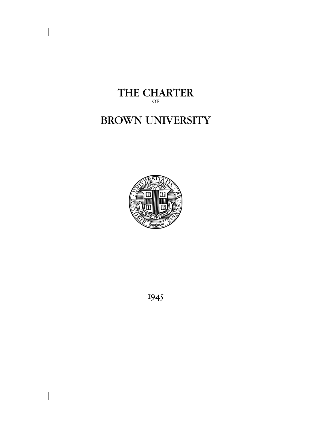

# BROWN UNIVERSITY



1945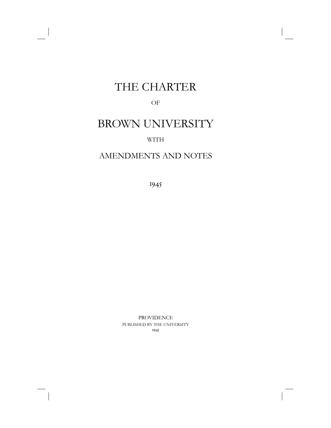# THE CHARTER

### OF

# BROWN UNIVERSITY

### WITH

## AMENDMENTS AND NOTES

1945

PROVIDENCE PUBLISHED BY THE UNIVERSITY 1945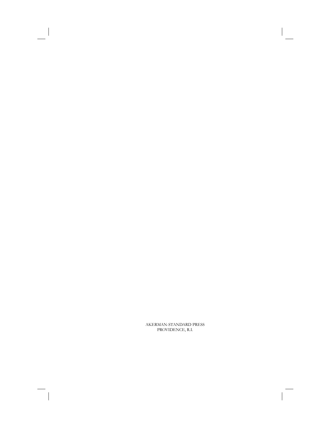AKERMAN-STANDARD PRESS PROVIDENCE, R.I.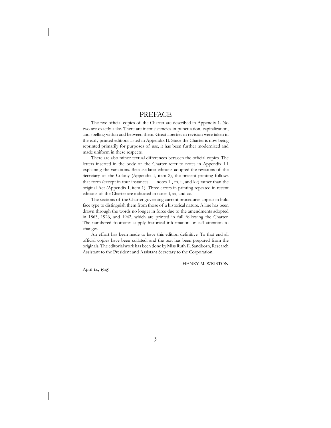### PREFACE

The five official copies of the Charter are described in Appendix 1. No two are exactly alike. There are inconsistencies in punctuation, capitalization, and spelling within and between them. Great liberties in revision were taken in the early printed editions listed in Appendix II. Since the Charter is now being reprinted primarily for purposes of use, it has been further modernized and made uniform in these respects.

There are also minor textual differences between the official copies. The letters inserted in the body of the Charter refer to notes in Appendix III explaining the variations. Because later editions adopted the revisions of the Secretary of the Colony (Appendix I, item 2), the present printing follows that form (except in four instances — notes 1 , m, ii, and kk) rather than the original Act (Appendix I, item 1). Three errors in printing repeated in recent editions of the Charter are indicated in notes f, aa, and cc.

 The sections of the Charter governing current procedures appear in bold face type to distinguish them from those of a historical nature. A line has been drawn through the words no longer in force due to the amendments adopted in 1863, 1926, and 1942, which are printed in full following the Charter. The numbered footnotes supply historical information or call attention to changes.

An effort has been made to have this edition definitive. To that end all official copies have been collated, and the text has been prepared from the originals. The editorial work has been done by Miss Ruth E. Sandborn, Research Assistant to the President and Assistant Secretary to the Corporation.

HENRY M. WRISTON

April 14, 1945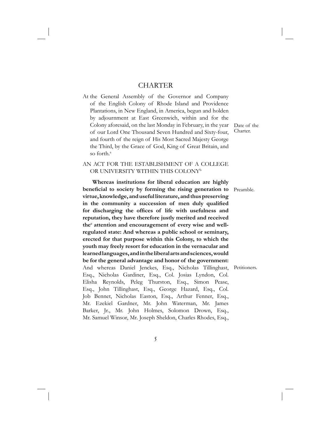## **CHARTER**

At the General Assembly of the Governor and Company of the English Colony of Rhode Island and Providence Plantations, in New England, in America, begun and holden by adjournment at East Greenwich, within and for the Colony aforesaid, on the last Monday in February, in the year of our Lord One Thousand Seven Hundred and Sixty-four, and fourth of the reign of His Most Sacred Majesty George the Third, by the Grace of God, King of Great Britain, and so forth<sup>a</sup>

Date of the Charter.

### AN ACT FOR THE ESTABLISHMENT OF A COLLEGE OR UNIVERSITY WITHIN THIS COLONYb

 **Whereas institutions for liberal education are highly**  beneficial to society by forming the rising generation to Preamble. **virtue, knowledge, and useful literature, and thus preserving**  in the community a succession of men duly qualified for discharging the offices of life with usefulness and **reputation, they have therefore justly merited and received**  the<sup>c</sup> attention and encouragement of every wise and well**regulated state: And whereas a public school or seminary, erected for that purpose within this Colony, to which the youth may freely resort for education in the vernacular and learned languages, and in the liberal arts and sciences, would be for the general advantage and honor of the government:**  And whereas Daniel Jenckes, Esq., Nicholas Tillinghast, Petitioners.Esq., Nicholas Gardiner, Esq., Col. Josias Lyndon, Col. Elisha Reynolds, Peleg Thurston, Esq., Simon Pease, Esq., John Tillinghast, Esq., George Hazard, Esq., Col. Job Bennet, Nicholas Easton, Esq., Arthur Fenner, Esq., Mr. Ezekiel Gardner, Mr. John Waterman, Mr. James Barker, Jr., Mr. John Holmes, Solomon Drown, Esq., Mr. Samuel Winsor, Mr. Joseph Sheldon, Charles Rhodes, Esq.,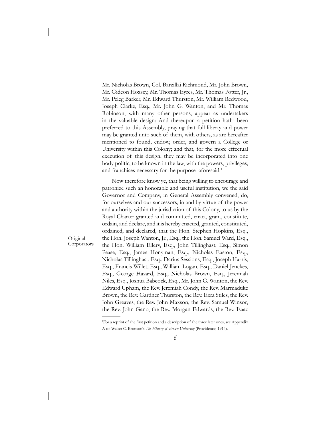Mr. Nicholas Brown, Col. Barzillai Richmond, Mr. John Brown, Mr. Gideon Hoxsey, Mr. Thomas Eyres, Mr. Thomas Potter, Jr., Mr. Peleg Barker, Mr. Edward Thurston, Mr. William Redwood, Joseph Clarke, Esq., Mr. John G. Wanton, and Mr. Thomas Robinson, with many other persons, appear as undertakers in the valuable design: And thereupon a petition hath<sup>d</sup> been preferred to this Assembly, praying that full liberty and power may be granted unto such of them, with others, as are hereafter mentioned to found, endow, order, and govern a College or University within this Colony; and that, for the more effectual execution of this design, they may be incorporated into one body politic, to be known in the law, with the powers, privileges, and franchises necessary for the purpose<sup>e</sup> aforesaid.<sup>1</sup>

 Now therefore know ye, that being willing to encourage and patronize such an honorable and useful institution, we the said Governor and Company, in General Assembly convened, do, for ourselves and our successors, in and by virtue of the power and authority within the jurisdiction of this Colony, to us by the Royal Charter granted and committed, enact, grant, constitute, ordain, and declare, and it is hereby enacted, granted, constituted, ordained, and declared, that the Hon. Stephen Hopkins, Esq., the Hon. Joseph Wanton, Jr., Esq., the Hon. Samuel Ward, Esq., the Hon. William Ellery, Esq., John Tillinghast, Esq., Simon Pease, Esq., James Honyman, Esq., Nicholas Easton, Esq., Nicholas Tillinghast, Esq., Darius Sessions, Esq., Joseph Harris, Esq., Francis Willet, Esq., William Logan, Esq., Daniel Jenckes, Esq., George Hazard, Esq., Nicholas Brown, Esq., Jeremiah Niles, Esq., Joshua Babcock, Esq., Mr. John G. Wanton, the Rev. Edward Upham, the Rev. Jeremiah Condy, the Rev. Marmaduke Brown, the Rev. Gardner Thurston, the Rev. Ezra Stiles, the Rev. John Greaves, the Rev. John Maxson, the Rev. Samuel Winsor, the Rev. John Gano, the Rev. Morgan Edwards, the Rev. Isaac

<sup>1</sup>For a reprint of the first petition and a description of the three later ones, see Appendix A of Walter C. Bronson's *The History of Brown University* (Providence, 1914).

Original Corporators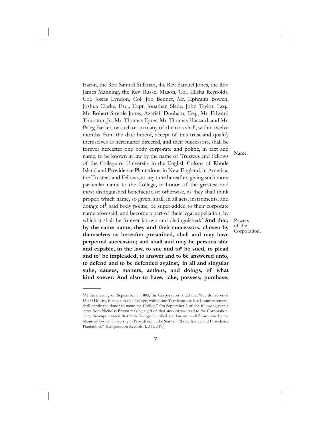Eaton, the Rev. Samuel Stillman, the Rev. Samuel Jones, the Rev. James Manning, the Rev. Russel Mason, Col. Elisha Reynolds, Col. Josias Lyndon, Col. Job Bennet, Mr. Ephraim Bowen, Joshua Clarke, Esq., Capt. Jonathan Slade, John Taylor, Esq., Mr. Robert Strettle Jones, Azariah Dunham, Esq., Mr. Edward Thurston, Jr., Mr. Thomas Eyres, Mr. Thomas Haszard, and Mr. Peleg Barker, or such or so many of them as shall, within twelve months from the date hereof, accept of this trust and qualify themselves as hereinafter directed, and their successors, shall be forever hereafter one body corporate and politic, in fact and name, to be known in law by the name of Trustees and Fellows of the College or University in the English Colony of Rhode Island and Providence Plantations, in New England, in America; the Trustees and Fellows, at any time hereafter, giving such more particular name to the College, in honor of the greatest and most distinguished benefactor, or otherwise, as they shall think proper; which name, so given, shall, in all acts, instruments, and doings of said body politic, be super-added to their corporate name aforesaid, and become a part of their legal appellation, by which it shall be forever known and distinguished:<sup>2</sup> And that, **by the same name, they and their successors, chosen by themselves as hereafter prescribed, shall and may have perpetual succession; and shall and may be persons able**  and capable, in the law, to sue and to<sup>g</sup> be sued, to plead and to<sup>h</sup> be impleaded, to answer and to be answered unto, to defend and to be defended against,<sup>i</sup> in all and singular **suits, causes, matters, actions, and doings, of what kind soever: And also to have, take, possess, purchase,** 

Name.

Powers of the Corporation.

<sup>&</sup>lt;sup>2</sup>At the meeting on September 8, 1803, the Corporation voted that "the donation of \$5000 Dollars, if made to this College, within one Year from the late Commencement, shall entitle the donor to name the College." On September 6 of the following year, a letter from Nicholas Brown making a gift of that amount was read to the Corporation. They thereupon voted that "this College be called and known in all future time by the Name of Brown University in Providence in the State of Rhode Island, and Providence Plantations." (Corporation Records, I, 311, 319.)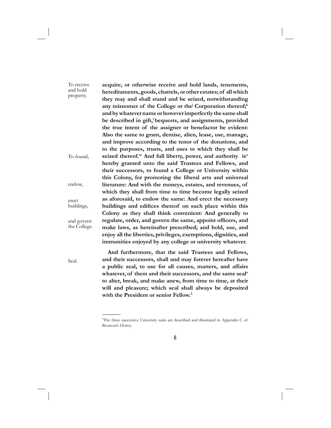**acquire, or otherwise receive and hold lands, tenements, hereditaments, goods, chattels, or other estates; of all which they may and shall stand and be seized, notwithstanding**  any misnomer of the College or the<sup>j</sup> Corporation thereof;<sup>k</sup> **and by whatever name or however imperfectly the same shall**  be described in gift,<sup>1</sup> bequests, and assignments, provided **the true intent of the assigner or benefactor be evident: Also the same to grant, demise, alien, lease, use, manage, and improve according to the tenor of the donations, and to the purposes, trusts, and uses to which they shall be**  seized thereof.<sup>m</sup> And full liberty, power, and authority is<sup>n</sup> **hereby granted unto the said Trustees and Fellows, and their successors, to found a College or University within this Colony, for promoting the liberal arts and universal literature: And with the moneys, estates, and revenues, of which they shall from time to time become legally seized as aforesaid, to endow the same: And erect the necessary**  buildings and edifices thereof on such place within this **Colony as they shall think convenient: And generally to**  regulate, order, and govern the same, appoint officers, and **make laws, as hereinafter prescribed; and hold, use, and enjoy all the liberties, privileges, exemptions, dignities, and immunities enjoyed by any college or university whatever.**  To receive and hold property. To found, endow, erect buildings, and govern the College.

Seal.

 **And furthermore, that the said Trustees and Fellows, and their successors, shall and may forever hereafter have a public seal, to use for all causes, matters, and affairs**  whatever, of them and their successors, and the same seal<sup>o</sup> **to alter, break, and make anew, from time to time, at their will and pleasure; which seal shall always be deposited with the President or senior Fellow.3**

<sup>3</sup> The three successive University seals are described and illustrated in Appendix C of Bronson's *History.*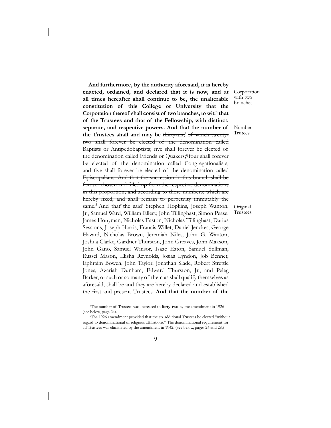**And furthermore, by the authority aforesaid, it is hereby enacted, ordained, and declared that it is now, and at all times hereafter shall continue to be, the unalterable constitution of this College or University that the**  Corporation thereof shall consist of two branches, to wit:<sup>p</sup> that **of the Trustees and that of the Fellowship, with distinct, separate, and respective powers. And that the number of**  the Trustees shall and may be thirty-six;<sup>4</sup> of which twentytwo shall forever be elected of the denomination called Baptists or Antipedobaptists; five shall forever be elected of the denomination called Friends or Quakers;<sup>q</sup> four shall forever be elected of the denomination called Congregationalists; and five shall forever be elected of the denomination called Episcopalians: And that the succession in this branch shall be forever chosen and filled up from the respective denominations in this proportion, and according to these numbers; which are hereby fixed, and shall remain to perpetuity immutably the same.<sup>5</sup> And that' the said<sup>s</sup> Stephen Hopkins, Joseph Wanton, Jr., Samuel Ward, William Ellery, John Tillinghast, Simon Pease, James Honyman, Nicholas Easton, Nicholas Tillinghast, Darius Sessions, Joseph Harris, Francis Willet, Daniel Jenckes, George Hazard, Nicholas Brown, Jeremiah Niles, John G. Wanton, Joshua Clarke, Gardner Thurston, John Greaves, John Maxson, John Gano, Samuel Winsor, Isaac Eaton, Samuel Stillman, Russel Mason, Elisha Reynolds, Josias Lyndon, Job Bennet, Ephraim Bowen, John Taylor, Jonathan Slade, Robert Strettle Jones, Azariah Dunham, Edward Thurston, Jr., and Peleg Barker, or such or so many of them as shall qualify themselves as aforesaid, shall be and they are hereby declared and established the first and present Trustees. And that the number of the

Corporation with two branches.

Number Trutees.

Original Trustees.

<sup>4</sup> The number of Trustees was increased to **forty-two** by the amendment in 1926 (see below, page 24).

<sup>5</sup> The 1926 amendment provided that the six additional Trustees be elected "without regard to denominational or religious affiliations." The denominational requirement for atl Trustees was eliminated by the amendment in 1942. (See below, pages 24 and 28.)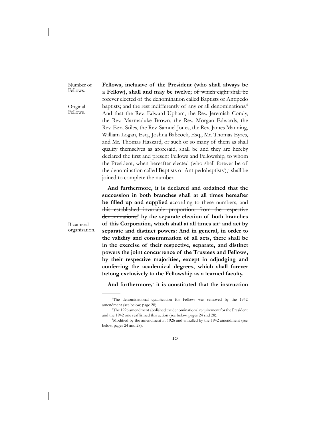Number of Fellows.

Original Fellows.

**Fellows, inclusive of the President (who shall always be a Fellow), shall and may be twelve;** of which eight shall be forever elected of the denomination called Baptists or Antipedo baptists; and the rest indifferently of any or all denominations.<sup>6</sup> And that the Rev. Edward Upham, the Rev. Jeremiah Condy, the Rev. Marmaduke Brown, the Rev. Morgan Edwards, the Rev. Ezra Stiles, the Rev. Samuel Jones, the Rev. James Manning, William Logan, Esq., Joshua Babcock, Esq., Mr. Thomas Eyres, and Mr. Thomas Haszard, or such or so many of them as shall qualify themselves as aforesaid, shall be and they are hereby declared the first and present Fellows and Fellowship, to whom the President, when hereafter elected (who shall forever be of the denomination called Baptists or Antipedobaptists<sup>+</sup>),<sup>7</sup> shall be joined to complete the number.

 **And furthermore, it is declared and ordained that the succession in both branches shall at all times hereafter**  be filled up and supplied according to these numbers, and this established invariable proportion; from the respective denominations,<sup>8</sup> by the separate election of both branches of this Corporation, which shall at all times sit<sup>u</sup> and act by **separate and distinct powers: And in general, in order to the validity and consummation of all acts, there shall be in the exercise of their respective, separate, and distinct powers the joint concurrence of the Trustees and Fellows, by their respective majorities, except in adjudging and conferring the academical degrees, which shall forever belong exclusively to the Fellowship as a learned faculty.**

Bicameral organization.

And furthermore,<sup>v</sup> it is constituted that the instruction

<sup>&</sup>lt;sup>6</sup>The denominational qualification for Fellows was removed by the 1942 amendment (see below, page 28).

<sup>7</sup> The 1926 amendment abolished the denominational requirement for the President and the 1942 one reaffirmed this action (see below, pages 24 snd 28).

<sup>&</sup>lt;sup>8</sup>Modified by the amendment in 1926 and annulled by the 1942 amendment (see below, pages 24 and 28).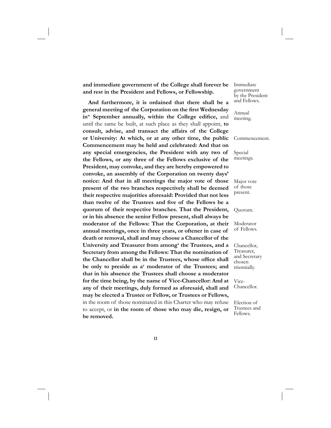**and immediate government of the College shall forever be and rest in the President and Fellows, or Fellowship.**

 **And furthermore, it is ordained that there shall be a general meeting of the Corporation on the first Wednesday** in<sup>w</sup> September annually, within the College edifice, and until the same be built, at such place as they shall appoint, **to consult, advise, and transact the affairs of the College or University: At which, or at any other time, the public Commencement may be held and celebrated: And that on any special emergencies, the President with any two of the Fellows, or any three of the Fellows exclusive of the President, may convoke, and they are hereby empowered to convoke, an assembly of the Corporation on twenty days' notice: And that in all meetings the major vote of those present of the two branches respectively shall be deemed their respective majorities aforesaid: Provided that not less**  than twelve of the Trustees and five of the Fellows be a **quorum of their respective branches. That the President, or in his absence the senior Fellow present, shall always be moderator of the Fellows: That the Corporation, at their annual meetings, once in three years, or oftener in case of death or removal, shall and may choose a Chancellor of the**  University and Treasurer from among<sup>x</sup> the Trustees, and a **Secretary from among the Fellows: That the nomination of**  the Chancellor shall be in the Trustees, whose office shall **be only to preside as ay moderator of the Trustees; and that in his absence the Trustees shall choose a moderator for the time being, by the name of Vice-Chancellor: And at any of their meetings, duly formed as aforesaid, shall and may be elected a Trustee or Fellow, or Trustees or Fellows,**  in the room of those nominated in this Charter who may refuse to accept, or **in the room of those who may die, resign, or be removed.** 

Immediate government by the President and Fellows.

Annual meeting.

Commencement.

Special meetings.

Major vote of those present.

Quorum.

Moderator of Fellows.

Chancellor, Treasurer, and Secretary chosen triennially.

Vice-Chancellor.

Election of Trustees and Fellows.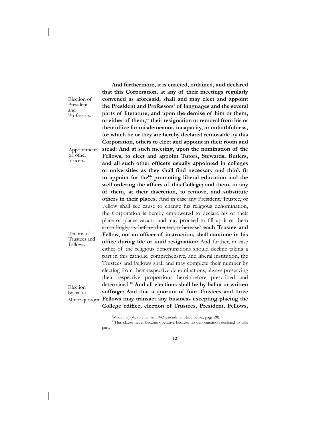Election of President and Professors.

Appointment of other offi cers.

Tenure of Trustees and Fellows.

Election by ballot. Minor quorom.

the President and Professors<sup>z</sup> of languages and the several **parts of literature; and upon the demise of him or them,**  or either of them,<sup>aa</sup> their resignation or removal from his or their office for misdemeanor, incapacity, or unfaithfulness, **for which he or they are hereby declared removable by this Corporation, others to elect and appoint in their room and stead: And at such meeting, upon the nomination of the Fellows, to elect and appoint Tutors, Stewards, Butlers,**  and all such other officers usually appointed in colleges or universities as they shall find necessary and think fit to appoint for the<sup>bb</sup> promoting liberal education and the **well ordering the affairs of this College; and them, or any of them, at their discretion, to remove, and substitute others in their places.** And in case any President, Trustee, or Fellow shall see cause to change his religious denomination, the Corporation is hereby empowered to declare his or their place or places vacant, and may proceed to fill up it or them accordingly, as before directed; otherwise<sup>9</sup> each Trustee and Fellow, not an officer of instruction, shall continue in his office during life or until resignation: And further, in case either of the religious denominations should decline taking a part in this catholic, comprehensive, and liberal institution, the Trustees and Fellows shall and may complete their number by electing from their respective denominations, always preserving their respective proportions hereinbefore prescribed and determined:10 **And all elections shall be by ballot or written suffrage: And that a quorum of four Trustees and three Fellows may transact any business excepting placing the**  College edifice, election of Trustees, President, Fellows,

 **And furthermore, it is enacted, ordained, and declared that this Corporation, at any of their meetings regularly convened as aforesaid, shall and may elect and appoint** 

<sup>&</sup>lt;sup>9</sup>Made inapplicable by the 1942 amendment (see below, page 28).

<sup>&</sup>lt;sup>10</sup>This clause never became operative because no denomination declined to take part.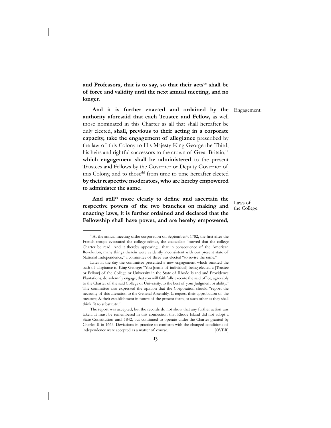and Professors, that is to say, so that their acts<sup>cc</sup> shall be **of force and validity until the next annual meeting, and no longer.**

 **And it is further enacted and ordained by the authority aforesaid that each Trustee and Fellow,** as well those nominated in this Charter as all that shall hereafter be duly elected, **shall, previous to their acting in a corporate capacity, take the engagement of allegiance** prescribed by the law of this Colony to His Majesty King George the Third, his heirs and rightful successors to the crown of Great Britain,<sup>11</sup> **which engagement shall be administered** to the present Trustees and Fellows by the Governor or Deputy Governor of this Colony, and to those<sup>dd</sup> from time to time hereafter elected **by their respective moderators, who are hereby empowered to administer the same.**

And still<sup>ee</sup> more clearly to define and ascertain the **respective powers of the two branches on making and enacting laws, it is further ordained and declared that the Fellowship shall have power, and are hereby empowered,** 

Engagement.

Laws of the College.

 $11$ At the annual meeting of the corporation on September 4, 1782, the first after the French troops evacuated the college edifice, the chancellor "moved that the college Charter be read. And it thereby appearing... that in consequence of the American Revolution, many things therein were evidently inconsistent with our present state of National Independence," a committee of three was elected "to revise the same."

Later in the day the committee presented a new engagement which omitted the oath of allegiance to King George: "You [name of individual] being elected a [Trustee or Fellow] of the College or University in the State of Rhode Island and Providence Plantations, do solemnly engage, that you will faithfully execute the said office, agreeably to the Charter of the said College or University, to the best of your Judgment or ability." The committee also expressed the opinion that the Corporation should "report the necessity of this alteration to the General Assembly, & request their approbation of the measure; & their establishment in future of the present form, or such other as they shall think fit to substitute."

The report was accepted, but the records do not show that any further action was taken. It must be remembered in this connection that Rhode Island did not adopt a State Constitution until 1842, but continued to operate under the Charter granted by Charles II in 1663. Deviations in practice to conform with the changed conditions of independence were accepted as a matter of course. [OVER]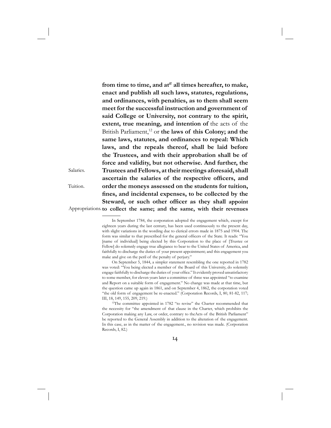from time to time, and at<sup>ff</sup> all times hereafter, to make, **enact and publish all such laws, statutes, regulations, and ordinances, with penalties, as to them shall seem meet for the successful instruction and government of said College or University, not contrary to the spirit, extent, true meaning, and intention of** the acts of the British Parliament,<sup>12</sup> or the laws of this Colony; and the **same laws, statutes, and ordinances to repeal: Which laws, and the repeals thereof, shall be laid before the Trustees, and with their approbation shall be of force and validity, but not otherwise. And further, the Trustees and Fellows, at their meetings aforesaid, shall**  ascertain the salaries of the respective officers, and **order the moneys assessed on the students for tuition,**  fines, and incidental expenses, to be collected by the Steward, or such other officer as they shall appoint **to collect the same; and the same, with their revenues**  Appropriations.

Salaries.

Tuition.

In September 1784, the corporation adopted the engagement which, except for eighteen years during the last century, has been used continuously to the present day, with slight variations in the wording due to clerical errors made in 1875 and 1904. The form was similar to that prescribed for the general officers of the State. It reads: "You [name of individual] being elected by this Corporation to the place of [Trustee or Fellow] do solemnly engage true allegiance to bear to the United States of America, and faithfully to discharge the duties of your present appointment; and this engagement you make and give on the peril of the penalty of perjury."

On September 5, 1844, a simpler statement resembling the one reported in 1782 was voted: "You being elected a member of the Board of this University, do solemnly engage faithfully to discharge the duties of your office." It evidently proved unsatisfactory to some member, for eleven years later a committee of three was appointed "to examine and Report on a suitable form of engagement." No change was made at that time, but the question came up again in 1861, and on September 4, 1862, the corporation voted "the old form of engagement be re-enacted." (Corporation Records, I, 80, 81-82, 117; III, 18, 149, 155, 209, 219.)

<sup>&</sup>lt;sup>12</sup>The committee appointed in 1782 "to revise" the Charter recommended that the necessity for "the amendment of that clause in the Charter, which prohibits the Corporation making any Law, or order, contrary to theActs of the British Parliament" be reported to the General Assembly in addition to the alteration of the engagement. In this case, as in the matter of the engagement., no revision was made. (Corporation Records, I, 82.)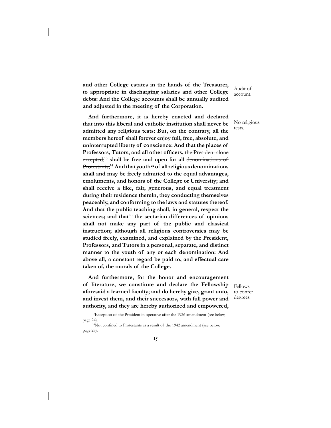**and other College estates in the hands of the Treasurer, to appropriate in discharging salaries and other College debts: And the College accounts shall be annually audited and adjusted in the meeting of the Corporation.**

 **And furthermore, it is hereby enacted and declared that into this liberal and catholic institution shall never be admitted any religious tests: But, on the contrary, all the members hereof shall forever enjoy full, free, absolute, and uninterrupted liberty of conscience: And that the places of**  Professors, Tutors, and all other officers, the President alone excepted,<sup>13</sup> shall be free and open for all denominations of Protestants;<sup>14</sup> And that youth<sup>gg</sup> of all religious denominations **shall and may be freely admitted to the equal advantages, emoluments, and honors of the College or University; and shall receive a like, fair, generous, and equal treatment during their residence therein, they conducting themselves peaceably, and conforming to the laws and statutes thereof. And that the public teaching shall, in general, respect the**  sciences; and that<sup>hh</sup> the sectarian differences of opinions **shall not make any part of the public and classical instruction; although all religious controversies may be studied freely, examined, and explained by the President, Professors, and Tutors in a personal, separate, and distinct manner to the youth of any or each denomination: And above all, a constant regard be paid to, and effectual care taken of, the morals of the College.**

 **And furthermore, for the honor and encouragement of literature, we constitute and declare the Fellowship aforesaid a learned faculty; and do hereby give, grant unto, and invest them, and their successors, with full power and authority, and they are hereby authorized and empowered,** 

Audit of account.

No religious tests.

Fellows to confer degrees.

<sup>&</sup>lt;sup>13</sup>Exception of the President in operative after the 1926 amendment (see below, page 24).<br><sup>14</sup>Not confined to Protestants as a result of the 1942 amendment (see below,

page 28).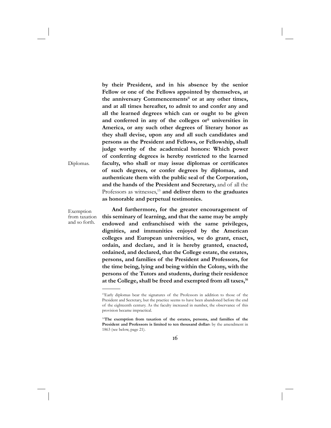**by their President, and in his absence by the senior Fellow or one of the Fellows appointed by themselves, at the anniversary Commencementsii or at any other times, and at all times hereafter, to admit to and confer any and all the learned degrees which can or ought to be given**  and conferred in any of the colleges or<sup>jj</sup> universities in **America, or any such other degrees of literary honor as they shall devise, upon any and all such candidates and persons as the President and Fellows, or Fellowship, shall judge worthy of the academical honors: Which power of conferring degrees is hereby restricted to the learned**  faculty, who shall or may issue diplomas or certificates **of such degrees, or confer degrees by diplomas, and authenticate them with the public seal of the Corporation, and the hands of the President and Secretary,** and of all the Professors as witnesses,<sup>15</sup> and deliver them to the graduates **as honorable and perpetual testimonies.**

Diplomas.

Exemption from taxation and so forth.

 **And furthermore, for the greater encouragement of this seminary of learning, and that the same may be amply endowed and enfranchised with the same privileges, dignities, and immunities enjoyed by the American colleges and European universities, we do grant, enact, ordain, and declare, and it is hereby granted, enacted, ordained, and declared, that the College estate, the estates, persons, and families of the President and Professors, for the time being, lying and being within the Colony, with the persons of the Tutors and students, during their residence at the College, shall be freed and exempted from all taxes,16** 

<sup>15</sup>Early diplomas bear the signatures of the Professors in addition to those of the President and Secretary, but the practice seems to have been abandoned before the end of the eighteenth century. As the faculty increased in number, the observance of this provision became impractical.

<sup>16</sup>**The exemption from taxation of the estates, persons, and families of the President and Professors is limited to ten thousand dollar**s by the amendment in 1863 (see below, page 21).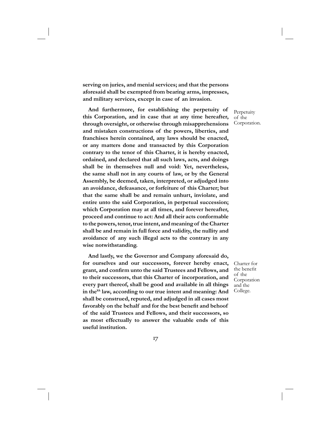**serving on juries, and menial services; and that the persons aforesaid shall be exempted from bearing arms, impresses, and military services, except in case of an invasion.**

 **And furthermore, for establishing the perpetuity of this Corporation, and in case that at any time hereafter, through oversight, or otherwise through misapprehensions and mistaken constructions of the powers, liberties, and franchises herein contained, any laws should be enacted, or any matters done and transacted by this Corporation contrary to the tenor of this Charter, it is hereby enacted, ordained, and declared that all such laws, acts, and doings shall be in themselves null and void: Yet, nevertheless, the same shall not in any courts of law, or by the General Assembly, be deemed, taken, interpreted, or adjudged into an avoidance, defeasance, or forfeiture of this Charter; but that the same shall be and remain unhurt, inviolate, and entire unto the said Corporation, in perpetual succession; which Corporation may at all times, and forever hereafter, proceed and continue to act: And all their acts conformable to the powers, tenor, true intent, and meaning of the Charter shall be and remain in full force and validity, the nullity and avoidance of any such illegal acts to the contrary in any wise notwithstanding.**

 **And lastly, we the Governor and Company aforesaid do, for ourselves and our successors, forever hereby enact,**  grant, and confirm unto the said Trustees and Fellows, and **to their successors, that this Charter of incorporation, and every part thereof, shall be good and available in all things**  in the<sup>kk</sup> law, according to our true intent and meaning: And **shall be construed, reputed, and adjudged in all cases most**  favorably on the behalf and for the best benefit and behoof **of the said Trustees and Fellows, and their successors, so as most effectually to answer the valuable ends of this useful institution.**

Perpetuity of the Corporation.

Charter for the benefit of the Corporation and the College.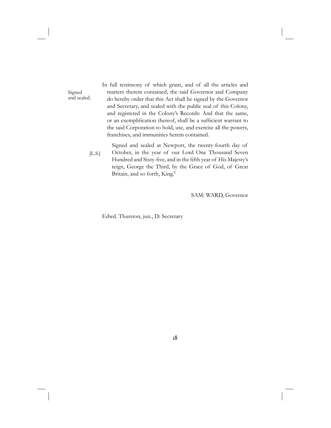In full testimony of which grant, and of all the articles and matters therein contained, the said Governor and Company do hereby order that this Act shall be signed by the Governor and Secretary, and sealed with the public seal of this Colony, and registered in the Colony's Records: And that the same, or an exemplification thereof, shall be a sufficient warrant to the said Corporation to hold, use, and exercise all the powers, franchises, and immunities herein contained.

Signed and sealed at Newport, the twenty-fourth day of October, in the year of our Lord One Thousand Seven Hundred and Sixty-five, and in the fifth year of His Majesty's reign, George the Third, by the Grace of God, of Great Britain, and so forth, King.<sup>11</sup> [L.S.]

SAM: WARD, Governor

Edwd. Thurston, jun., D: Secretary

Signed and sealed.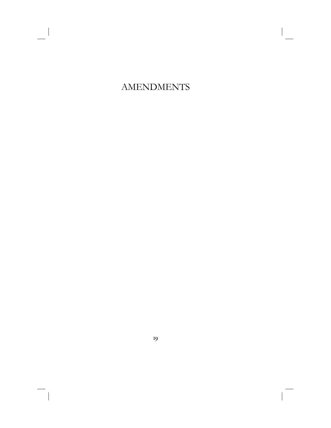# AMENDMENTS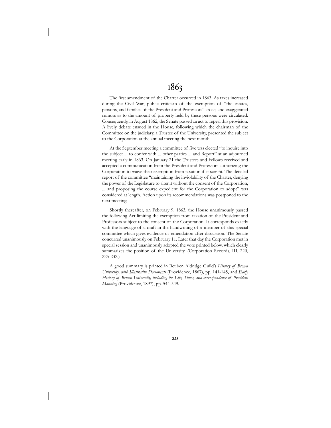## 1863

The first amendment of the Charter occurred in 1863. As taxes increased during the Civil War, public criticism of the exemption of "the estates, persons, and families of the President and Professors" arose, and exaggerated rumors as to the amount of property held by these persons were circulated. Consequently, in August 1862, the Senate passed an act to repeal this provision. A lively debate ensued in the House, following which the chairman of the Committee on the judiciary, a Trustee of the University, presented the subject to the Corporation at the annual meeting the next month.

At the September meeting a committee of five was elected "to inquire into the subject ... to confer with ... other parties ... and Report" at an adjourned meeting early in 1863. On January 21 the Trustees and Fellows received and accepted a communication from the President and Professors authorizing the Corporation to waive their exemption from taxation if it saw fit. The detailed report of the committee "maintaining the inviolability of the Charter, denying the power of the Legislature to alter it without the consent of the Corporation, ... and proposing the course expedient for the Corporation to adopt" was considered at length. Action upon its recommendations was postponed to the next meeting.

Shortly thereafter, on February 9, 1863, the House unanimously passed the following Act limiting the exemption from taxation of the President and Professors subject to the consent of the Corporation. It corresponds exactly with the language of a draft in the handwriting of a member of this special committee which gives evidence of emendation after discussion. The Senate concurred unanimously on February 11. Later that day the Corporation met in special session and unanimously adopted the vote printed below, which clearly summarizes the position of the University. (Corporation Records, III, 220, 225-232.)

A good summary is printed in Reuben Aldridge Guild's *History of Brown University, with Illustrative Documents* (Providence, 1867), pp. 141-145, and *Early History of Brown University, including the Life, Times, and correspondence of President Manning* (Providence, 1897), pp. 544-549.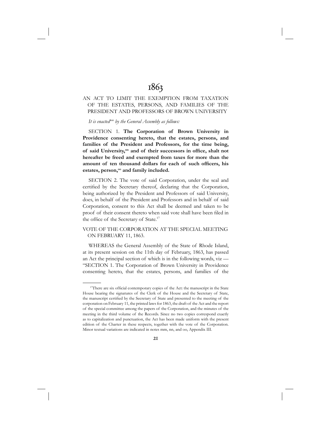## 1863

#### AN ACT TO LIMIT THE EXEMPTION FROM TAXATION OF THE ESTATES, PERSONS, AND FAMILIES OF THE PRESIDENT AND PROFESSORS OF BROWN UNIVERSITY

*It is enactedmm by the General Assembly as follows:*

SECTION 1. **The Corporation of Brown University in Providence consenting hereto, that the estates, persons, and families of the President and Professors, for the time being,**  of said University,<sup>nn</sup> and of their successors in office, shalt not **hereafter be freed and exempted from taxes for more than the**  amount of ten thousand dollars for each of such officers, his estates, person,<sup>oo</sup> and family included.

SECTION 2. The vote of said Corporation, under the seal and certified by the Secretary thereof, declaring that the Corporation, being authorized by the President and Professors of said University, does, in behalf of the President and Professors and in behalf of said Corporation, consent to this Act shall be deemed and taken to be proof of their consent thereto when said vote shall have been filed in the office of the Secretary of State.<sup>17</sup>

VOTE OF THE CORPORATION AT THE SPECIAL MEETING ON FEBRUARY 11, 1863.

WHEREAS the General Assembly of the State of Rhode Island, at its present session on the 11th day of February, 1863, has passed an Act the principal section of which is in the following words, viz — "SECTION 1. The Corporation of Brown University in Providence consenting hereto, that the estates, persons, and families of the

<sup>&</sup>lt;sup>17</sup>There are six official contemporary copies of the Act: the manuscript in the State House bearing the signatures of the Clerk of the House and the Secretary of State, the manuscript certified by the Secretary of State and presented to the meeting of the corporation on February 11, the printed laws for 1863, the draft of the Act and the report of the special committee among the papers of the Corporation, and the minutes of the meeting in the third volume of the Records. Since no two copies correspond exactly as to capitalization and punctuation, the Act has been made uniform with the present edition of the Charter in these respects, together with the vote of the Corporation. Minor textual variations are indicated in notes mm, nn, and oo, Appendix III.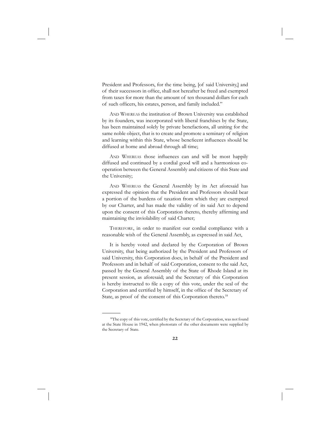President and Professors, for the time being, [of said University,] and of their successors in office, shall not hereafter be freed and exempted from taxes for more than the amount of ten thousand dollars for each of such officers, his estates, person, and family included."

AND WHEREAS the institution of Brown University was established by its founders, was incorporated with liberal franchises by the State, has been maintained solely by private benefactions, all uniting for the same noble object, that is to create and promote a seminary of religion and learning within this State, whose beneficent influences should be diffused at home and abroad through all time;

AND WHEREAS those influences can and will be most happily diffused and continued by a cordial good will and a harmonious cooperation between the General Assembly and citizens of this State and the University;

AND WHEREAS the General Assembly by its Act aforesaid has expressed the opinion that the President and Professors should bear a portion of the burdens of taxation from which they are exempted by our Charter, and has made the validity of its said Act to depend upon the consent of this Corporation thereto, thereby affirming and maintaining the inviolability of said Charter;

THEREFORE, in order to manifest our cordial compliance with a reasonable wish of the General Assembly, as expressed in said Act,

It is hereby voted and declared by the Corporation of Brown University, that being authorized by the President and Professors of said University, this Corporation does, in behalf of the President and Professors and in behalf of said Corporation, consent to the said Act, passed by the General Assembly of the State of Rhode Island at its present session, as aforesaid; and the Secretary of this Corporation is hereby instructed to file a copy of this vote, under the seal of the Corporation and certified by himself, in the office of the Secretary of State, as proof of the consent of this Corporation thereto.<sup>18</sup>

<sup>&</sup>lt;sup>18</sup>The copy of this vote, certified by the Secretary of the Corporation, was not found at the State House in 1942, when photostats of the other documents were supplied by the Secretary of State.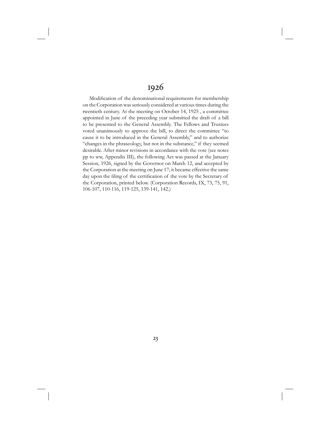## 1926

Modification of the denominational requirements for membership on the Corporation was seriously considered at various times during the twentieth century. At the meeting on October 14, 1925 , a committee appointed in June of the preceding year submitted the draft of a bill to be presented to the General Assembly. The Fellows and Trustees voted unanimously to approve the bill, to direct the committee "to cause it to be introduced in the General Assembly," and to authorize "changes in the phraseology, but not in the substance," if they seemed desirable. After minor revisions in accordance with the vote (see notes pp to ww, Appendix III), the following Act was passed at the January Session, 1926, signed by the Governor on March 12, and accepted by the Corporation at the meeting on June 17; it became effective the same day upon the filing of the certification of the vote by the Secretary of the Corporation, printed below. (Corporation Records, IX, 73, 75, 91, 106-107, 110-116, 119-125, 139-141, 142.)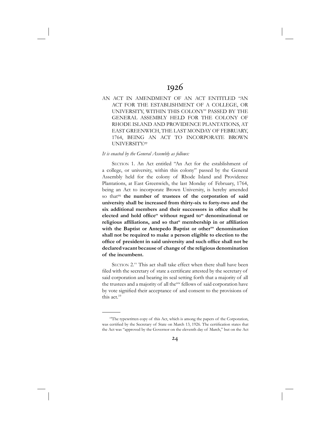AN ACT IN AMENDMENT OF AN ACT ENTITLED "AN ACT FOR THE ESTABLISHMENT OF A COLLEGE, OR UNIVERSITY, WITHIN THIS COLONY" PASSED BY THE GENERAL ASSEMBLY HELD FOR THE COLONY OF RHODE ISLAND AND PROVIDENCE PLANTATIONS, AT EAST GREENWICH, THE LAST MONDAY OF FEBRUARY, 1764, BEING AN ACT TO INCORPORATE BROWN UNIVERSITY.pp

#### *It is enacted by the General Assembly as follows:*

 SECTION 1. An Act entitled "An Act for the establishment of a college, or university, within this colony" passed by the General Assembly held for the colony of Rhode Island and Providence Plantations, at East Greenwich, the last Monday of February, 1764, being an Act to incorporate Brown University, is hereby amended so that<sup>qq</sup> the number of trustees of the corporation of said **university shall be increased from thirty-six to forty-two and the**  six additional members and their successors in office shall be elected and hold office<sup>rr</sup> without regard to<sup>ss</sup> denominational or religious affiliations, and so that<sup>tt</sup> membership in or affiliation **with the Baptist or Antepedo Baptist or otheruu denomination shall not be required to make a person eligible to election to the**  office of president in said university and such office shall not be **declared vacant because of change of the religious denomination of the incumbent.**

SECTION 2.<sup>vv</sup> This act shall take effect when there shall have been filed with the secretary of state a certificate attested by the secretary of said corporation and bearing its seal setting forth that a majority of all the trustees and a majority of all the<sup>ww</sup> fellows of said corporation have by vote signified their acceptance of and consent to the provisions of this act.19

<sup>&</sup>lt;sup>19</sup>The typewritten copy of this Act, which is among the papers of the Corporation, was certified by the Secretary of State on March 13, 1926. The certification states that the Act was "approved by the Governor on the eleventh day of March," but on the Act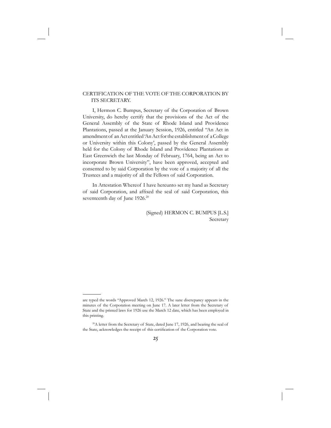#### CERTIFICATION OF THE VOTE OF THE CORPORATION BY ITS SECRETARY.

 I, Hermon C. Bumpus, Secretary of the Corporation of Brown University, do hereby certify that the provisions of the Act of the General Assembly of the State of Rhode Island and Providence Plantations, passed at the January Session, 1926, entitled "An Act in amendment of an Act entitled 'An Act for the establishment of a College or University within this Colony', passed by the General Assembly held for the Colony of Rhode Island and Providence Plantations at East Greenwich the last Monday of February, 1764, being an Act to incorporate Brown University", have been approved, accepted and consented to by said Corporation by the vote of a majority of all the Trustees and a majority of all the Fellows of said Corporation.

 In Attestation Whereof I have hereunto set my hand as Secretary of said Corporation, and affixed the seal of said Corporation, this seventeenth day of June 1926.<sup>20</sup>

> (Signed) HERMON C. BUMPUS [L.S.] Secretary

are typed the words "Approved March 12, 1926." The sane discrepancy appears in the minutes of the Corporation meeting on June 17. A later letter from the Secretary of State and the printed laws for 1926 use the March 12 date, which has been employed in this printing.

<sup>&</sup>lt;sup>20</sup>A letter from the Secretary of State, dated June 17, 1926, and bearing the seal of the State, acknowledges the receipt of this certification of the Corporation vote.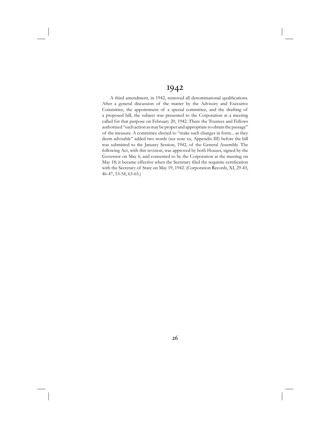## 1942

A third amendment, in 1942, removed all denominational qualifications. After a general discussion of the matter by the Advisory and Executive Committee, the appointment of a special committee, and the drafting of a proposed bill, the subject was presented to the Corporation at a meeting called for that purpose on February 20, 1942. There the Trustees and Fellows authorized "such action as may be proper and appropriate to obtain the passage" of the measure. A committee elected to "make such changes in form... as they deem advisable" added two words (see note xx, Appendix III) before the bill was submitted to the January Session, 1942, of the General Assembly. The following Act, with this revision, was approved by both Houses, signed by the Governor on May 6, and consented to by the Corporation at the meeting on May 18; it became effective when the Secretary filed the requisite certification with the Secretary of State on May 19, 1942. (Corporation Records, XI, 29-43, 46-47, 53-54, 63-65.)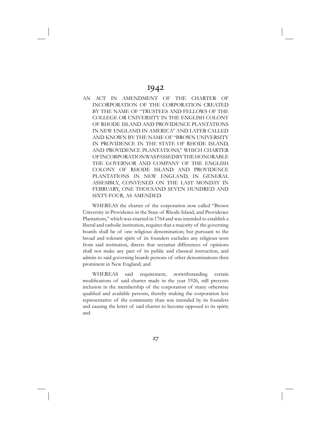AN ACT IN AMENDMENT OF THE CHARTER OF INCORPORATION OF THE CORPORATION CREATED BY THE NAME OF "TRUSTEES AND FELLOWS OF THE COLLEGE OR UNIVERSITY IN THE ENGLISH COLONY OF RHODE ISLAND AND PROVIDENCE PLANTATIONS IN NEW ENGLAND IN AMERICA" AND LATER CALLED AND KNOWN BY THE NAME OF "BROWN UNIVERSITY IN PROVIDENCE IN THE STATE OF RHODE ISLAND, AND PROVIDENCE PLANTATIONS," WHICH CHARTER OF INCORPORATION WAS PASSED BY THE HONORABLE THE GOVERNOR AND COMPANY OF THE ENGLISH COLONY OF RHODE ISLAND AND PROVIDENCE PLANTATIONS IN NEW ENGLAND, IN GENERAL ASSEMBLY, CONVENED ON THE LAST MONDAY IN FEBRUARY, ONE THOUSAND SEVEN HUNDRED AND SIXTY-FOUR, AS AMENDED.

 WHEREAS the charter of the corporation now called "Brown University in Providence in the State of Rhode Island, and Providence Plantations," which was enacted in 1764 and was intended to establish a liberal and catholic institution, requires that a majority of the governing boards shall be of one religious denomination; but pursuant to the broad and tolerant spirit of its founders excludes any religious tests from said institution, directs that sectarian differences of opinions shall not make any part of its public and classical instruction, and admits to said governing boards persons of other denominations then prominent in New England; and

 WHEREAS said requirement, notwithstanding certain modifications of said charter made in the year 1926, still prevents inclusion in the membership of the corporation of many otherwise qualified and available persons, thereby making the corporation less representative of the community than was intended by its founders and causing the letter of said charter to become opposed to its spirit; and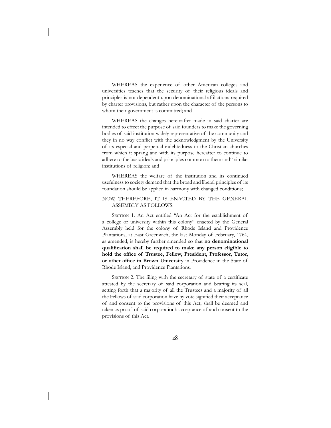WHEREAS the experience of other American colleges and universities teaches that the security of their religious ideals and principles is not dependent upon denominational affiliations required by charter provisions, but rather upon the character of the persons to whom their government is committed; and

 WHEREAS the changes hereinafter made in said charter are intended to effect the purpose of said founders to make the governing bodies of said institution widely representative of the community and they in no way conflict with the acknowledgment by the University of its especial and perpetual indebtedness to the Christian churches from which it sprang and with its purpose hereafter to continue to adhere to the basic ideals and principles common to them and<sup>xx</sup> similar institutions of religion; and

 WHEREAS the welfare of the institution and its continued usefulness to society demand that the broad and liberal principles of its foundation should be applied in harmony with changed conditions;

#### NOW, THEREFORE, IT IS ENACTED BY THE GENERAL ASSEMBLY AS FOLLOWS:

 SECTION 1. An Act entitled "An Act for the establishment of a college or university within this colony" enacted by the General Assembly held for the colony of Rhode Island and Providence Plantations, at East Greenwich, the last Monday of February, 1764, as amended, is hereby further amended so that **no denominational qualifi cation shall be required to make any person eligible to**  hold the office of Trustee, Fellow, President, Professor, Tutor, **or other office in Brown University** in Providence in the State of Rhode Island, and Providence Plantations.

SECTION 2. The filing with the secretary of state of a certificate attested by the secretary of said corporation and bearing its seal, setting forth that a majority of all the Trustees and a majority of all the Fellows of said corporation have by vote signified their acceptance of and consent to the provisions of this Act, shall be deemed and taken as proof of said corporation's acceptance of and consent to the provisions of this Act.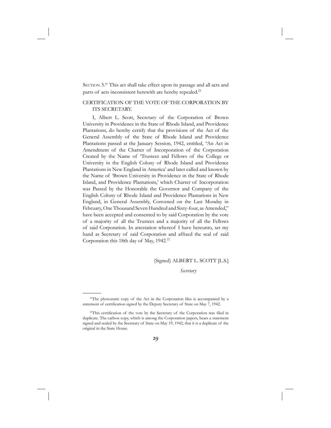SECTION 3.<sup>yy</sup> This act shall take effect upon its passage and all acts and parts of acts inconsistent herewith are hereby repealed.<sup>21</sup>

#### CERTIFICATION OF THE VOTE OF THE CORPORATION BY ITS SECRETARY.

 I, Albert L. Scott, Secretary of the Corporation of Brown University in Providence in the State of Rhode Island, and Providence Plantations, do hereby certify that the provisions of the Act of the General Assembly of the State of Rhode Island and Providence Plantations passed at the January Session, 1942, entitled, "An Act in Amendment of the Charter of Incorporation of the Corporation Created by the Name of 'Trustees and Fellows of the College or University in the English Colony of Rhode Island and Providence Plantations in New England in America' and later called and known by the Name of 'Brown University in Providence in the State of Rhode Island, and Providence Plantations,' which Charter of Incorporation was Passed by the Honorable the Governor and Company of the English Colony of Rhode Island and Providence Plantations in New England, in General Assembly, Convened on the Last Monday in February, One Thousand Seven Hundred and Sixty-four, as Amended," have been accepted and consented to by said Corporation by the vote of a majority of all the Trustees and a majority of all the Fellows of said Corporation. In attestation whereof I have hereunto, set my hand as Secretary of said Corporation and affixed the seal of said Corporation this 18th day of May, 1942.<sup>22</sup>

#### (Signed) ALBERT L. SCOTT [L.S.]

*Secretary*

<sup>&</sup>lt;sup>21</sup>The photostatic copy of the Act in the Corporation files is accompanied by a statement of certification signed by the Deputy Secretary of State on May 7, 1942.

<sup>&</sup>lt;sup>22</sup>This certification of the vote by the Secretary of the Corporation was filed in duplicate. The carbon copy, which is among the Corporation papers, bears a statement signed and sealed by the Secretary of State on May 19, 1942, that it is a duplicate of the original in the State House.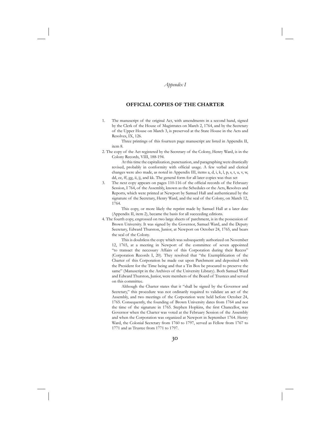#### *Appendix I*

#### **OFFICIAL COPIES OF THE CHARTER**

1. The manuscript of the original Act, with amendments in a second hand, signed by the Clerk of the House of Magistrates on March 2, 1764, and by the Secretary of the Upper House on March 3, is preserved at the State House in the Acts and Resolves, IX, 126.

 Three printings of this fourteen page manuscript are listed in Appendix II, item 8.

2. The copy of the Act registered by the Secretary of the Colony, Henry Ward, is in the Colony Records, VIII, 188-194.

 At this time the capitalization, punctuation, and paragraphing were drastically revised, probably in conformity with official usage. A few verbal and clerical changes were also made, as noted in Appendix III, items a, d, i, k, l, p, s, t, u, v, w, dd, ee, ff, gg, ii, jj, and kk. The general form for all later copies was thus set

3. The next copy appears on pages 110-116 of the official records of the February Session, I 764, of the Assembly, known as the Schedules or the Acts, Resolves and Reports, which were printed at Newport by Samuel Hall and authenticated by the signature of the Secretary, Henry Ward, and the seal of the Colony, on March 12, 1764.

 This copy, or more likely the reprint made by Samuel Hall at a later date (Appendix II, item 2), became the basis for all succeeding editions.

4. The fourth copy, engrossed on two large sheets of parchment, is in the possession of Brown University. It was signed by the Governor, Samuel Ward, and the Deputy Secretary, Edward Thurston, Junior, at Newport on October 24, 1765, and bears the seal of the Colony.

 This is doubtless the copy which was subsequently authorized on November 12, 1765, at a meeting in Newport of the committee of seven appointed "to transact the necessary Affairs of this Corporation during their Recess" (Corporation Records I, 20). They resolved that "the Exemplification of the Charter of this Corporation be made out upon Parchment and deposited with the President for the Time being and that a Tin Box be procured to preserve the same" (Manuscript in the Archives of the University Library). Both Samuel Ward and Edward Thurston, Junior, were members of the Board of Trustees and served on this committee.

 Although the Charter states that it "shall be signed by the Governor and Secretary," this procedure was not ordinarily required to validate an act of the Assembly, and two meetings of the Corporation were held before October 24, 1765. Consequently, the founding of Brown University dates from 1764 and not the time of the signature in 1765. Stephen Hopkins, the first Chancellor, was Governor when the Charter was voted at the February Session of the Assembly and when the Corporation was organized at Newport in September 1764. Henry Ward, the Colonial Secretary from 1760 to 1797, served as Fellow from 1767 to 1771 and as Trustee from 1771 to 1797.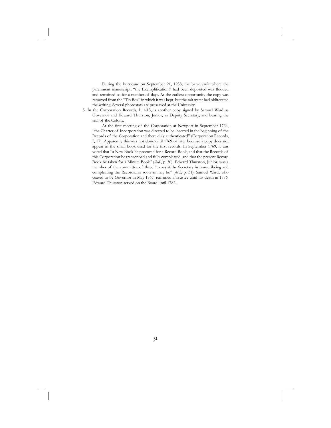During the hurricane on September 21, 1938, the bank vault where the parchment manuscript, "the Exemplification," had been deposited was flooded and remained so for a number of days. At the earliest opportunity the copy was removed from the "Tin Box" in which it was kept, but the salt water had obliterated the writing. Several photostats are preserved at the University.

5. In the Corporation Records, I, 1-13, is another copy signed by Samuel Ward as Governor and Edward Thurston, Junior, as Deputy Secretary, and bearing the seal of the Colony.

At the first meeting of the Corporation at Newport in September 1764, "the Charter of Incorporation was directed to be inserted in the beginning of the Records of the Corporation and there duly authenticated" (Corporation Records, I, 17). Apparently this was not done until 1769 or later because a copy does not appear in the small book used for the first records. In September 1769, it was voted that "a New Book be procured for a Record Book, and that the Records of this Corporation be transcribed and fully compleated, and that the present Record Book be taken for a Minute Book" (*ibid*., p. 30). Edward Thurston, Junior, was a member of the committee of three "to assist the Secretary in transcribeing and compleating the Records...as soon as may be" (*ibid*., p. 31). Samuel Ward, who ceased to be Governor in May 1767, remained a Trustee until his death in 1776. Edward Thurston served on the Board until 1782.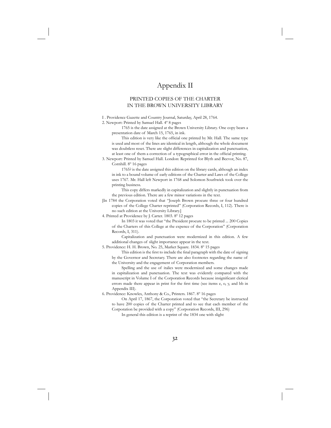## Appendix II

#### PRINTED COPIES OF THE CHARTER IN THE BROWN UNIVERSITY LIBRARY

I . Providence Gazette and Country Journal, Saturday, April 28, 1764.

2. Newport: Printed by Samuel Hall. 4º 8 pages

 1765 is the date assigned at the Brown University Library. One copy bears a presentation date of March 15, 1765, in ink.

This edition is very like the official one printed by Mr. Hall. The same type is used and most of the lines are identical in length, although the whole document was doubtless reset. There are slight differences in capitalization and punctuation, at least one of them a correction of a typographical error in the official printing.

3. Newport: Printed by Samuel Hall. London: Reprinted for Blyth and Beevor, No. 87, Cornhill. 8º 16 pages

 1765? is the date assigned this edition on the library cards, although an index in ink to a bound volume of early editions of the Charter and Laws of the College uses 1767. Mr. Hall left Newport in 1768 and Solomon Southwick took over the printing business.

 This copy differs markedly in capitalization and slightly in punctuation from the previous edition. There are a few minor variations in the text.

- [In 1784 the Corporation voted that "Joseph Brown procure three or four hundred copies of the College Charter reprinted" (Corporation Records, I, 112). There is no such edition at the University Library.]
- 4. Printed at Providence by J. Carter. 1803. 8º 12 pages

 In 1803 it was voted that "the President procure to be printed ... 200 Copies of the Charters of this College at the expence of the Corporation" (Corporation Records, I, 311).

 Capitalization and punctuation were modernized in this edition. A few additional changes of slight importance appear in the text.

5. Providence: H. H. Brown, No. 25, Market Square. 1834. 8º 15 pages

This edition is the first to include the final paragraph with the date of signing by the Governor and Secretary. There are also footnotes regarding the name of the University and the engagement of Corporation members.

 Spelling and the use of italics were modernized and some changes made in capitalization and punctuation. The text was evidently compared with the manuscript in Volume I of the Corporation Records because insignificant clerical errors made there appear in print for the first time (see items e, o, y, and bb in Appendix III).

6. Providence: Knowles, Anthony & Co., Printers. 1867. 8º 16 pages

 On April 17, 1867, the Corporation voted that "the Secretary be instructed to have 200 copies of the Charter printed and to see that each member of the Corporation be provided with a copy" (Corporation Records, III, 296)

In general this edition is a reprint of the 1834 one with slight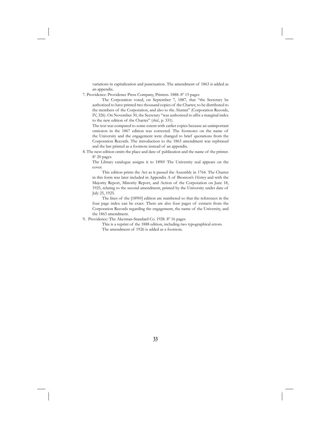variations in capitalization and punctuation. The amendment of 1863 is added as an appendix.

7. Providence: Providence Press Company, Printers. 1888. 8º 15 pages

 The Corporation voted, on September 7, 1887, that "the Secretary be authorized to have printed two thousand copies of the Charter, to be distributed to the members of the Corporation, and also to the Alumni" (Corporation Records, IV, 326). On November 30, the Secretary "was authorized to affix a marginal index to the new edition of the Charter" (*ibid*., p. 331).

 The text was compared to some extent with earlier copies because an unimportant omission in the 1867 edition was corrected. The footnotes on the name of the University and the engagement were changed to brief quotations from the Corporation Records. The introduction to the 1863 amendment was rephrased and the law printed as a footnote instead of an appendix.

8. The next edition omits the place and date of publication and the name of the printer. 8º 20 pages

 The Library catalogue assigns it to 1890? The University seal appears on the cover.

 This edition prints the Act as it passed the Assembly in 1764. The Charter in this form was later included in Appendix A of Bronson's *History* and with the Majority Report, Minority Report, and Action of the Corporation on June 18, 1925, relating to the second amendment, printed by the University under date of July 25, 1925.

 The lines of the [1890?] edition are numbered so that the references in the four page index can be exact. There are also four pages of extracts from the Corporation Records regarding the engagement, the name of the University, and the 1863 amendment.

9. Providence: The Akerman-Standard Co. 1928. 8º 16 pages

 This is a reprint of the 1888 edition, including two typographical errors. The amendment of 1926 is added as a footnote.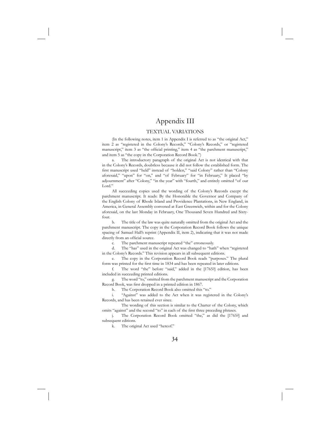## Appendix III

#### TEXTUAL VARIATIONS

(In the following notes, item 1 in Appendix I is referred to as "the original Act," item 2 as "registered in the Colony's Records," "Colony's Records," or "registered manuscript," item 3 as "the official printing," item 4 as "the parchment manuscript," and item 5 as "the copy in the Corporation Record Book.")

The introductory paragraph of the original Act is not identical with that in the Colony's Records, doubtless because it did not follow the established form. The first manuscript used "held" instead of "holden," "said Colony" rather than "Colony aforesaid," "upon" for "on," and "of February" for "in February," It placed "by adjournment" after "Colony," "in the year" with "fourth," and entirely omitted "of our Lord."

 All succeeding copies used the wording of the Colony's Records except the parchment manuscript. It reads: By the Honorable the Governor and Company of the English Colony of Rhode Island and Providence Plantations, in New England, in America, in General Assembly convened at East Greenwich, within and for the Colony aforesaid, on the last Monday in February, One Thousand Seven Hundred and Sixtyfour.

 b. The title of the law was quite naturally omitted from the original Act and the parchment manuscript. The copy in the Corporation Record Book follows the unique spacing of Samuel Hall's reprint (Appendix II, item 2), indicating that it was not made directly from an official source.

c. The parchment manuscript repeated "the" erroneously.

 d. The "has" used in the original Act was changed to "hath" when "registered in the Colony's Records." This revision appears in all subsequent editions.

 e. The copy in the Corporation Record Book reads "purposes." The plural form was printed for the first time in 1834 and has been repeated in later editions.

 f. The word "the" before "said," added in the [1765?] edition, has been included in succeeding printed editions.

 g. The word "to," omitted from the parchment manuscript and the Corporation Record Book, was first dropped in a printed edition in 1867.

h. The Corporation Record Book also omitted this "to."

 i. "Against" was added to the Act when it was registered in the Colony's Records, and has been retained ever since.

 The wording of this section is similar to the Charter of the Colony, which omits "against" and the second "to" in each of the first three preceding phrases.

 j. The Corporation Record Book omitted "the," as did the [1765?] and subsequent editions.

k. The original Act used "hereof."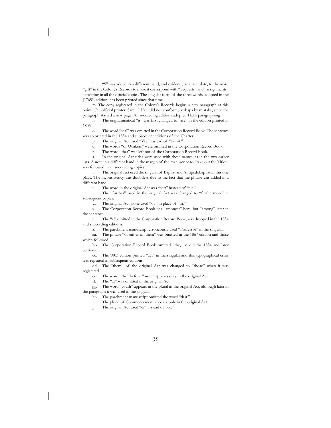l. "S" was added in a different hand, and evidently at a later date, to the word "gift" in the Colony's Records to make it correspond with "bequests" and "assignments" appearing in all the official copies. The singular form of the three words, adopted in the [1765?] edition, has been printed since that time.

 m. The copy registered in the Colony's Records begins a new paragraph at this point. The official printer, Samuel Hall, did not conform, perhaps by mistake, since the paragraph started a new page. All succeeding editions adopted Hall's paragraphing

n. The ungrammatical "is" was first changed to "are" in the edition printed in 1803.

 o. The word "seal" was omitted in the Corporation Record Book. The sentence was so printed in the 1834 and subsequent editions of the Charter.

p. The original Act used "Viz:""instead of "to wit."

q. The words "or Quakers" were omitted in the Corporation Record Book.

r. The word "that" was left out of the Corporation Record Book.

 s. In the original Act titles were used with these names, as in the two earlier lists. A note in a different hand in the margin of the manuscript to "take out the Titles" was followed in all succeeding copies.

 t. The original Act used the singular of Baptist and Antipedobaptist in this one place. The inconsistency was doubtless due to the fact that the phrase was added in a different hand.

u. The word in the original Act was "sett" instead of "sit."

 v. The "further" used in the original Act was changed to "furthermore" in subsequent copies.

w. The original Act alone used "of" in place of "in."

 x. The Corporation Record Book has "amongst" here, but "among" later in the sentence.

 y. The "a," omitted in the Corporation Record Book, was dropped in the 1834 and succeeding editions.

z. The parchment manuscript erroneously used "Professor" in the singular.

 aa. The phrase "or either of them" was omitted in the 1867 edition and those which followed.

 bb. The Corporation Record Book omitted "the," as did the 1834 and later editions.

 cc. The 1803 edition printed "act" in the singular and this typographical error was repeated in subsequent editions.

 dd. The "them" of the original Act was changed to "those" when it was registered.

ee. The word "the" before "more" appears only in the original Act.

ff. The "at" was omitted in the original Act.

 gg. The word "youth" appears in the plural in the original Act, although later in the paragraph it was used in the singular.

hh. The parchment manuscript omitted the word "that."

ii. The plural of Commencement appears only in the original Act.

jj. The original Act used "&" instead of "or."